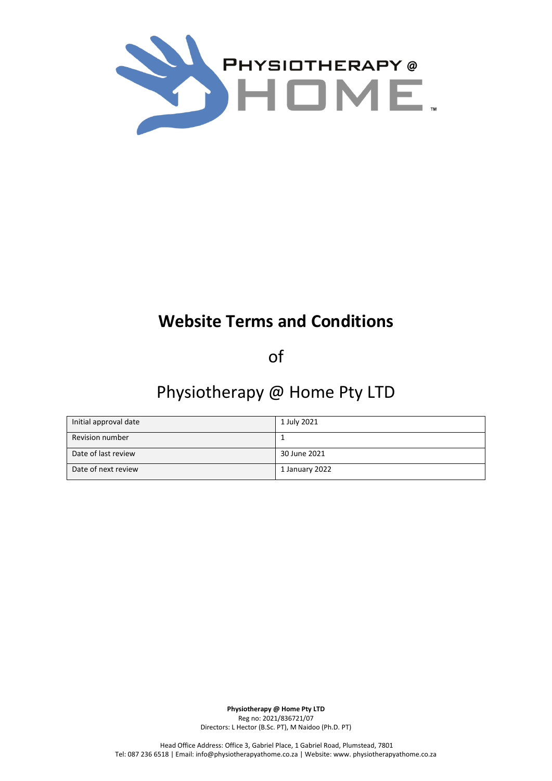

# **Website Terms and Conditions**

of

## Physiotherapy @ Home Pty LTD

| Initial approval date | 1 July 2021    |
|-----------------------|----------------|
| Revision number       |                |
| Date of last review   | 30 June 2021   |
| Date of next review   | 1 January 2022 |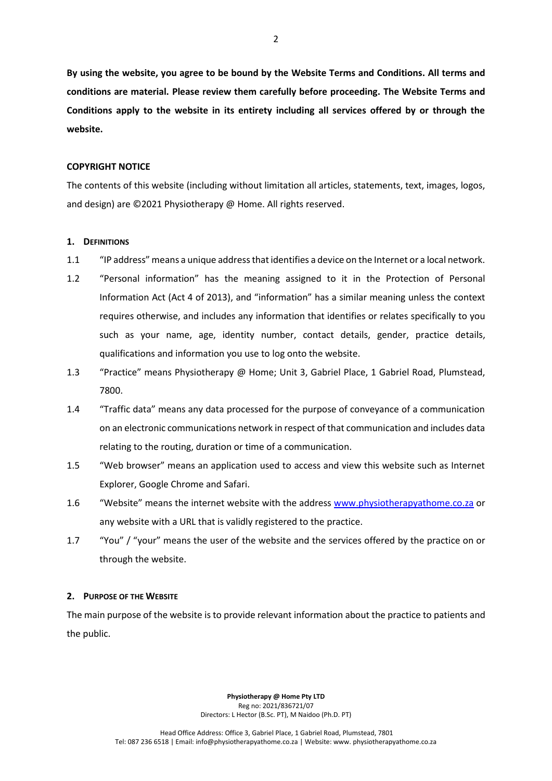**By using the website, you agree to be bound by the Website Terms and Conditions. All terms and conditions are material. Please review them carefully before proceeding. The Website Terms and Conditions apply to the website in its entirety including all services offered by or through the website.** 

## **COPYRIGHT NOTICE**

The contents of this website (including without limitation all articles, statements, text, images, logos, and design) are ©2021 Physiotherapy @ Home. All rights reserved.

## **1. DEFINITIONS**

- 1.1 "IP address" means a unique address that identifies a device on the Internet or a local network.
- 1.2 "Personal information" has the meaning assigned to it in the Protection of Personal Information Act (Act 4 of 2013), and "information" has a similar meaning unless the context requires otherwise, and includes any information that identifies or relates specifically to you such as your name, age, identity number, contact details, gender, practice details, qualifications and information you use to log onto the website.
- 1.3 "Practice" means Physiotherapy @ Home; Unit 3, Gabriel Place, 1 Gabriel Road, Plumstead, 7800.
- 1.4 "Traffic data" means any data processed for the purpose of conveyance of a communication on an electronic communications network in respect of that communication and includes data relating to the routing, duration or time of a communication.
- 1.5 "Web browser" means an application used to access and view this website such as Internet Explorer, Google Chrome and Safari.
- 1.6 "Website" means the internet website with the address [www.physiotherapyathome.co.za](http://www.physiotherapyathome.co.za/) or any website with a URL that is validly registered to the practice.
- 1.7 "You" / "your" means the user of the website and the services offered by the practice on or through the website.

## **2. PURPOSE OF THE WEBSITE**

The main purpose of the website is to provide relevant information about the practice to patients and the public.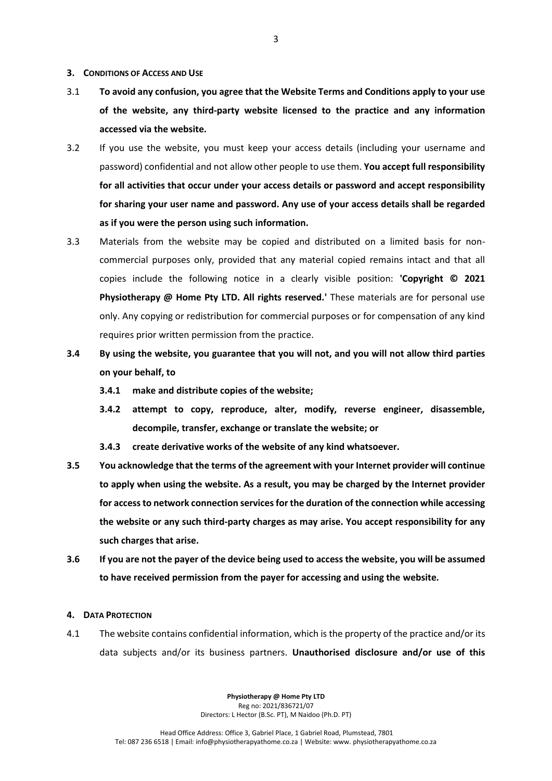#### **3. CONDITIONS OF ACCESS AND USE**

- 3.1 **To avoid any confusion, you agree that the Website Terms and Conditions apply to your use of the website, any third-party website licensed to the practice and any information accessed via the website.**
- 3.2 If you use the website, you must keep your access details (including your username and password) confidential and not allow other people to use them. **You accept full responsibility for all activities that occur under your access details or password and accept responsibility for sharing your user name and password. Any use of your access details shall be regarded as if you were the person using such information.**
- 3.3 Materials from the website may be copied and distributed on a limited basis for noncommercial purposes only, provided that any material copied remains intact and that all copies include the following notice in a clearly visible position: **'Copyright © 2021 Physiotherapy @ Home Pty LTD. All rights reserved.'** These materials are for personal use only. Any copying or redistribution for commercial purposes or for compensation of any kind requires prior written permission from the practice.
- **3.4 By using the website, you guarantee that you will not, and you will not allow third parties on your behalf, to** 
	- **3.4.1 make and distribute copies of the website;**
	- **3.4.2 attempt to copy, reproduce, alter, modify, reverse engineer, disassemble, decompile, transfer, exchange or translate the website; or**
	- **3.4.3 create derivative works of the website of any kind whatsoever.**
- **3.5 You acknowledge that the terms of the agreement with your Internet provider will continue to apply when using the website. As a result, you may be charged by the Internet provider for access to network connection services for the duration of the connection while accessing the website or any such third-party charges as may arise. You accept responsibility for any such charges that arise.**
- **3.6 If you are not the payer of the device being used to access the website, you will be assumed to have received permission from the payer for accessing and using the website.**
- **4. DATA PROTECTION**
- 4.1 The website contains confidential information, which is the property of the practice and/or its data subjects and/or its business partners. **Unauthorised disclosure and/or use of this**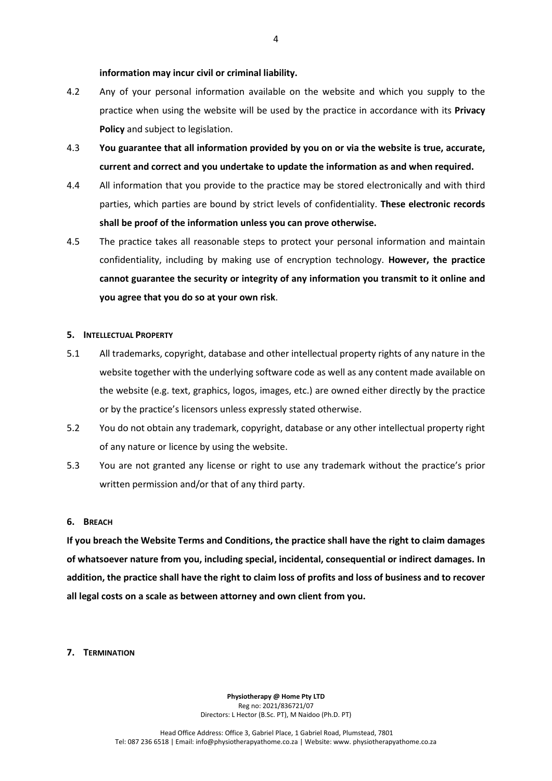#### **information may incur civil or criminal liability.**

- 4.2 Any of your personal information available on the website and which you supply to the practice when using the website will be used by the practice in accordance with its **Privacy Policy** and subject to legislation.
- 4.3 **You guarantee that all information provided by you on or via the website is true, accurate, current and correct and you undertake to update the information as and when required.**
- 4.4 All information that you provide to the practice may be stored electronically and with third parties, which parties are bound by strict levels of confidentiality. **These electronic records shall be proof of the information unless you can prove otherwise.**
- 4.5 The practice takes all reasonable steps to protect your personal information and maintain confidentiality, including by making use of encryption technology. **However, the practice cannot guarantee the security or integrity of any information you transmit to it online and you agree that you do so at your own risk**.

#### **5. INTELLECTUAL PROPERTY**

- 5.1 All trademarks, copyright, database and other intellectual property rights of any nature in the website together with the underlying software code as well as any content made available on the website (e.g. text, graphics, logos, images, etc.) are owned either directly by the practice or by the practice's licensors unless expressly stated otherwise.
- 5.2 You do not obtain any trademark, copyright, database or any other intellectual property right of any nature or licence by using the website.
- 5.3 You are not granted any license or right to use any trademark without the practice's prior written permission and/or that of any third party.

### **6. BREACH**

**If you breach the Website Terms and Conditions, the practice shall have the right to claim damages of whatsoever nature from you, including special, incidental, consequential or indirect damages. In addition, the practice shall have the right to claim loss of profits and loss of business and to recover all legal costs on a scale as between attorney and own client from you.**

#### **7. TERMINATION**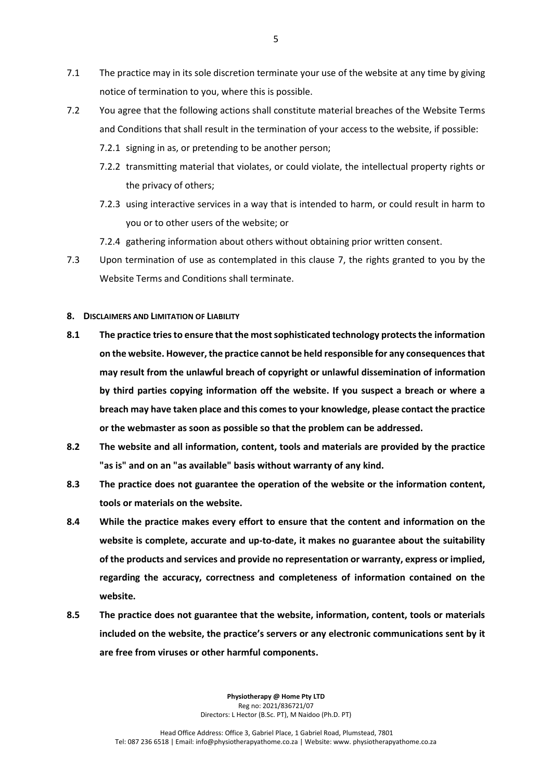- 7.1 The practice may in its sole discretion terminate your use of the website at any time by giving notice of termination to you, where this is possible.
- 7.2 You agree that the following actions shall constitute material breaches of the Website Terms and Conditions that shall result in the termination of your access to the website, if possible:
	- 7.2.1 signing in as, or pretending to be another person;
	- 7.2.2 transmitting material that violates, or could violate, the intellectual property rights or the privacy of others;
	- 7.2.3 using interactive services in a way that is intended to harm, or could result in harm to you or to other users of the website; or
	- 7.2.4 gathering information about others without obtaining prior written consent.
- 7.3 Upon termination of use as contemplated in this clause 7, the rights granted to you by the Website Terms and Conditions shall terminate.

## **8. DISCLAIMERS AND LIMITATION OF LIABILITY**

- **8.1 The practice tries to ensure that the most sophisticated technology protects the information on the website. However, the practice cannot be held responsible for any consequences that may result from the unlawful breach of copyright or unlawful dissemination of information by third parties copying information off the website. If you suspect a breach or where a breach may have taken place and this comes to your knowledge, please contact the practice or the webmaster as soon as possible so that the problem can be addressed.**
- **8.2 The website and all information, content, tools and materials are provided by the practice "as is" and on an "as available" basis without warranty of any kind.**
- **8.3 The practice does not guarantee the operation of the website or the information content, tools or materials on the website.**
- **8.4 While the practice makes every effort to ensure that the content and information on the website is complete, accurate and up-to-date, it makes no guarantee about the suitability of the products and services and provide no representation or warranty, express or implied, regarding the accuracy, correctness and completeness of information contained on the website.**
- **8.5 The practice does not guarantee that the website, information, content, tools or materials included on the website, the practice's servers or any electronic communications sent by it are free from viruses or other harmful components.**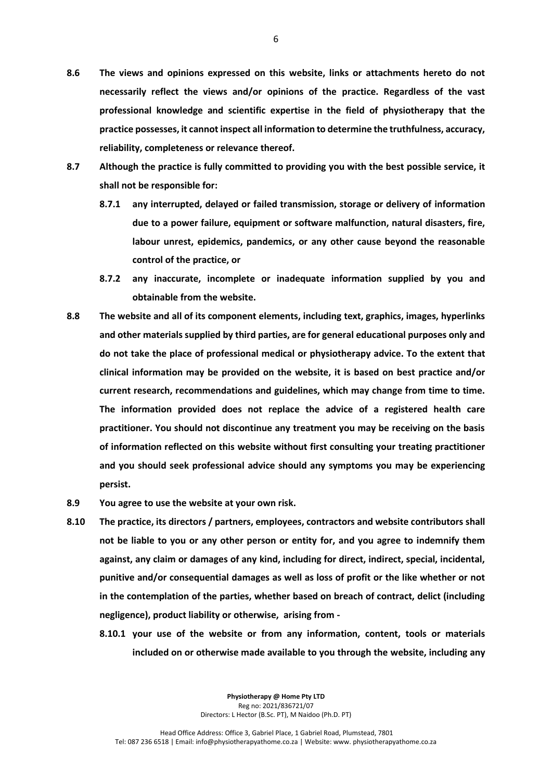- **8.6 The views and opinions expressed on this website, links or attachments hereto do not necessarily reflect the views and/or opinions of the practice. Regardless of the vast professional knowledge and scientific expertise in the field of physiotherapy that the practice possesses, it cannot inspect all information to determine the truthfulness, accuracy, reliability, completeness or relevance thereof.**
- **8.7 Although the practice is fully committed to providing you with the best possible service, it shall not be responsible for:**
	- **8.7.1 any interrupted, delayed or failed transmission, storage or delivery of information due to a power failure, equipment or software malfunction, natural disasters, fire, labour unrest, epidemics, pandemics, or any other cause beyond the reasonable control of the practice, or**
	- **8.7.2 any inaccurate, incomplete or inadequate information supplied by you and obtainable from the website.**
- **8.8 The website and all of its component elements, including text, graphics, images, hyperlinks and other materials supplied by third parties, are for general educational purposes only and do not take the place of professional medical or physiotherapy advice. To the extent that clinical information may be provided on the website, it is based on best practice and/or current research, recommendations and guidelines, which may change from time to time. The information provided does not replace the advice of a registered health care practitioner. You should not discontinue any treatment you may be receiving on the basis of information reflected on this website without first consulting your treating practitioner and you should seek professional advice should any symptoms you may be experiencing persist.**
- **8.9 You agree to use the website at your own risk.**
- **8.10 The practice, its directors / partners, employees, contractors and website contributors shall not be liable to you or any other person or entity for, and you agree to indemnify them against, any claim or damages of any kind, including for direct, indirect, special, incidental, punitive and/or consequential damages as well as loss of profit or the like whether or not in the contemplation of the parties, whether based on breach of contract, delict (including negligence), product liability or otherwise, arising from -**
	- **8.10.1 your use of the website or from any information, content, tools or materials included on or otherwise made available to you through the website, including any**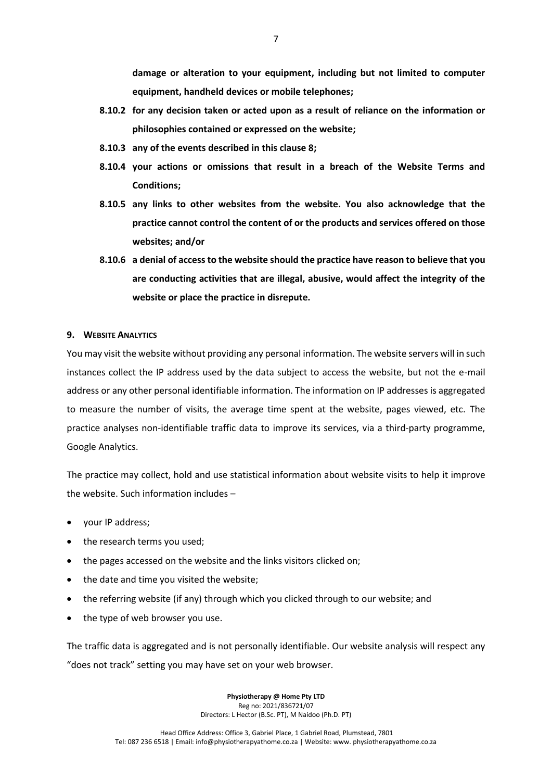**damage or alteration to your equipment, including but not limited to computer equipment, handheld devices or mobile telephones;** 

- **8.10.2 for any decision taken or acted upon as a result of reliance on the information or philosophies contained or expressed on the website;**
- **8.10.3 any of the events described in this clause 8;**
- **8.10.4 your actions or omissions that result in a breach of the Website Terms and Conditions;**
- **8.10.5 any links to other websites from the website. You also acknowledge that the practice cannot control the content of or the products and services offered on those websites; and/or**
- **8.10.6 a denial of access to the website should the practice have reason to believe that you are conducting activities that are illegal, abusive, would affect the integrity of the website or place the practice in disrepute.**

## **9. WEBSITE ANALYTICS**

You may visit the website without providing any personal information. The website servers will in such instances collect the IP address used by the data subject to access the website, but not the e-mail address or any other personal identifiable information. The information on IP addresses is aggregated to measure the number of visits, the average time spent at the website, pages viewed, etc. The practice analyses non-identifiable traffic data to improve its services, via a third-party programme, Google Analytics.

The practice may collect, hold and use statistical information about website visits to help it improve the website. Such information includes –

- your IP address;
- the research terms you used;
- the pages accessed on the website and the links visitors clicked on;
- the date and time you visited the website;
- the referring website (if any) through which you clicked through to our website; and
- the type of web browser you use.

The traffic data is aggregated and is not personally identifiable. Our website analysis will respect any "does not track" setting you may have set on your web browser.